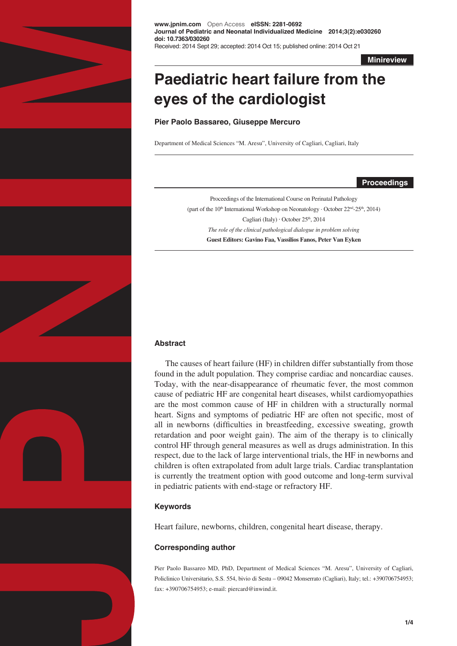

**www.jpnim.com** Open Access **eISSN: 2281-0692 Journal of Pediatric and Neonatal Individualized Medicine 2014;3(2):e030260 doi: 10.7363/030260** Received: 2014 Sept 29; accepted: 2014 Oct 15; published online: 2014 Oct 21

**Minireview**

# **Paediatric heart failure from the eyes of the cardiologist**

**Pier Paolo Bassareo, Giuseppe Mercuro**

Department of Medical Sciences "M. Aresu", University of Cagliari, Cagliari, Italy

**Proceedings**

Proceedings of the International Course on Perinatal Pathology (part of the 10<sup>th</sup> International Workshop on Neonatology  $\cdot$  October 22<sup>nd</sup>-25<sup>th</sup>, 2014) Cagliari (Italy)  $\cdot$  October 25<sup>th</sup>, 2014 *The role of the clinical pathological dialogue in problem solving*  **Guest Editors: Gavino Faa, Vassilios Fanos, Peter Van Eyken**

#### **Abstract**

The causes of heart failure (HF) in children differ substantially from those found in the adult population. They comprise cardiac and noncardiac causes. Today, with the near-disappearance of rheumatic fever, the most common cause of pediatric HF are congenital heart diseases, whilst cardiomyopathies are the most common cause of HF in children with a structurally normal heart. Signs and symptoms of pediatric HF are often not specific, most of all in newborns (difficulties in breastfeeding, excessive sweating, growth retardation and poor weight gain). The aim of the therapy is to clinically control HF through general measures as well as drugs administration. In this respect, due to the lack of large interventional trials, the HF in newborns and children is often extrapolated from adult large trials. Cardiac transplantation is currently the treatment option with good outcome and long-term survival in pediatric patients with end-stage or refractory HF.

## **Keywords**

Heart failure, newborns, children, congenital heart disease, therapy.

#### **Corresponding author**

Pier Paolo Bassareo MD, PhD, Department of Medical Sciences "M. Aresu", University of Cagliari, Policlinico Universitario, S.S. 554, bivio di Sestu – 09042 Monserrato (Cagliari), Italy; tel.: +390706754953; fax: +390706754953; e-mail: piercard@inwind.it.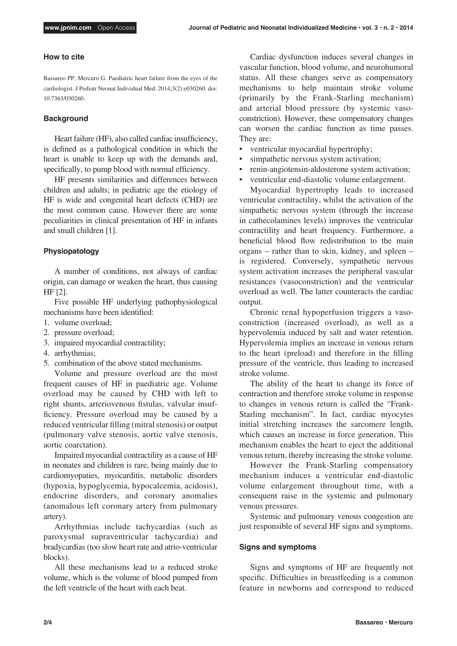## **How to cite**

Bassareo PP, Mercuro G. Paediatric heart failure from the eyes of the cardiologist. J Pediatr Neonat Individual Med. 2014;3(2):e030260. doi: 10.7363/030260.

#### **Background**

Heart failure (HF), also called cardiac insufficiency, is defined as a pathological condition in which the heart is unable to keep up with the demands and, specifically, to pump blood with normal efficiency.

HF presents similarities and differences between children and adults; in pediatric age the etiology of HF is wide and congenital heart defects (CHD) are the most common cause. However there are some peculiarities in clinical presentation of HF in infants and small children [1].

#### **Physiopatology**

A number of conditions, not always of cardiac origin, can damage or weaken the heart, thus causing HF [2].

Five possible HF underlying pathophysiological mechanisms have been identified:

- 1. volume overload;
- 2. pressure overload;
- 3. impaired myocardial contractility;
- 4. arrhythmias;
- 5. combination of the above stated mechanisms.

Volume and pressure overload are the most frequent causes of HF in paediatric age. Volume overload may be caused by CHD with left to right shunts, arteriovenous fistulas, valvular insufficiency. Pressure overload may be caused by a reduced ventricular filling (mitral stenosis) or output (pulmonary valve stenosis, aortic valve stenosis, aortic coarctation).

Impaired myocardial contractility as a cause of HF in neonates and children is rare, being mainly due to cardiomyopaties, myocarditis, metabolic disorders (hypoxia, hypoglycemia, hypocalcemia, acidosis), endocrine disorders, and coronary anomalies (anomalous left coronary artery from pulmonary artery).

Arrhythmias include tachycardias (such as paroxysmal supraventricular tachycardia) and bradycardias (too slow heart rate and atrio-ventricular blocks).

All these mechanisms lead to a reduced stroke volume, which is the volume of blood pumped from the left ventricle of the heart with each beat.

Cardiac dysfunction induces several changes in vascular function, blood volume, and neurohumoral status. All these changes serve as compensatory mechanisms to help maintain stroke volume (primarily by the Frank-Starling mechanism) and arterial blood pressure (by systemic vasoconstriction). However, these compensatory changes can worsen the cardiac function as time passes. They are:

- • ventricular myocardial hypertrophy;
- simpathetic nervous system activation;
- renin-angiotensin-aldosterone system activation;
- ventricular end-diastolic volume enlargement.

Myocardial hypertrophy leads to increased ventricular contractility, whilst the activation of the simpathetic nervous system (through the increase in cathecolamines levels) improves the ventricular contractility and heart frequency. Furthermore, a beneficial blood flow redistribution to the main organs – rather than to skin, kidney, and spleen – is registered. Conversely, sympathetic nervous system activation increases the peripheral vascular resistances (vasoconstriction) and the ventricular overload as well. The latter counteracts the cardiac output.

Chronic renal hypoperfusion triggers a vasoconstriction (increased overload), as well as a hypervolemia induced by salt and water retention. Hypervolemia implies an increase in venous return to the heart (preload) and therefore in the filling pressure of the ventricle, thus leading to increased stroke volume.

The ability of the heart to change its force of contraction and therefore stroke volume in response to changes in venous return is called the "Frank-Starling mechanism". In fact, cardiac myocytes initial stretching increases the sarcomere length, which causes an increase in force generation. This mechanism enables the heart to eject the additional venous return, thereby increasing the stroke volume.

However the Frank-Starling compensatory mechanism induces a ventricular end-diastolic volume enlargement throughout time, with a consequent raise in the systemic and pulmonary venous pressures.

Systemic and pulmonary venous congestion are just responsible of several HF signs and symptoms.

#### **Signs and symptoms**

Signs and symptoms of HF are frequently not specific. Difficulties in breastfeeding is a common feature in newborns and correspond to reduced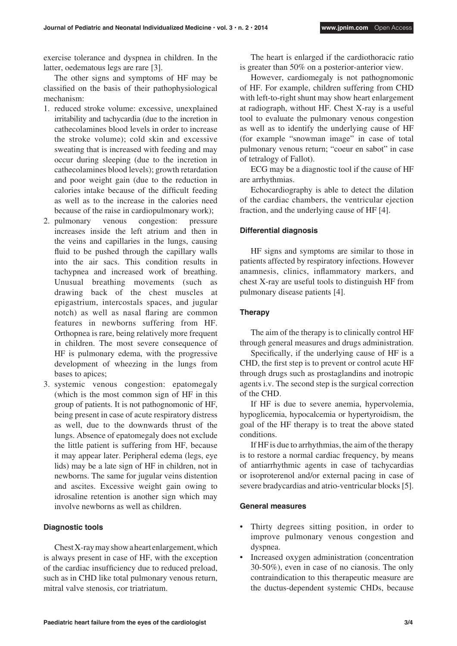exercise tolerance and dyspnea in children. In the latter, oedematous legs are rare [3].

The other signs and symptoms of HF may be classified on the basis of their pathophysiological mechanism:

- 1. reduced stroke volume: excessive, unexplained irritability and tachycardia (due to the incretion in cathecolamines blood levels in order to increase the stroke volume); cold skin and excessive sweating that is increased with feeding and may occur during sleeping (due to the incretion in cathecolamines blood levels); growth retardation and poor weight gain (due to the reduction in calories intake because of the difficult feeding as well as to the increase in the calories need because of the raise in cardiopulmonary work);
- 2. pulmonary venous congestion: pressure increases inside the left atrium and then in the veins and capillaries in the lungs, causing fluid to be pushed through the capillary walls into the air sacs. This condition results in tachypnea and increased work of breathing. Unusual breathing movements (such as drawing back of the chest muscles at epigastrium, intercostals spaces, and jugular notch) as well as nasal flaring are common features in newborns suffering from HF. Orthopnea is rare, being relatively more frequent in children. The most severe consequence of HF is pulmonary edema, with the progressive development of wheezing in the lungs from bases to apices;
- 3. systemic venous congestion: epatomegaly (which is the most common sign of HF in this group of patients. It is not pathognomonic of HF, being present in case of acute respiratory distress as well, due to the downwards thrust of the lungs. Absence of epatomegaly does not exclude the little patient is suffering from HF, because it may appear later. Peripheral edema (legs, eye lids) may be a late sign of HF in children, not in newborns. The same for jugular veins distention and ascites. Excessive weight gain owing to idrosaline retention is another sign which may involve newborns as well as children.

#### **Diagnostic tools**

Chest X-ray may show a heart enlargement, which is always present in case of HF, with the exception of the cardiac insufficiency due to reduced preload, such as in CHD like total pulmonary venous return, mitral valve stenosis, cor triatriatum.

The heart is enlarged if the cardiothoracic ratio is greater than 50% on a posterior-anterior view.

However, cardiomegaly is not pathognomonic of HF. For example, children suffering from CHD with left-to-right shunt may show heart enlargement at radiograph, without HF. Chest X-ray is a useful tool to evaluate the pulmonary venous congestion as well as to identify the underlying cause of HF (for example "snowman image" in case of total pulmonary venous return; "coeur en sabot" in case of tetralogy of Fallot).

ECG may be a diagnostic tool if the cause of HF are arrhythmias.

Echocardiography is able to detect the dilation of the cardiac chambers, the ventricular ejection fraction, and the underlying cause of HF [4].

## **Differential diagnosis**

HF signs and symptoms are similar to those in patients affected by respiratory infections. However anamnesis, clinics, inflammatory markers, and chest X-ray are useful tools to distinguish HF from pulmonary disease patients [4].

### **Therapy**

The aim of the therapy is to clinically control HF through general measures and drugs administration.

Specifically, if the underlying cause of HF is a CHD, the first step is to prevent or control acute HF through drugs such as prostaglandins and inotropic agents i.v. The second step is the surgical correction of the CHD.

If HF is due to severe anemia, hypervolemia, hypoglicemia, hypocalcemia or hypertyroidism, the goal of the HF therapy is to treat the above stated conditions.

If HF is due to arrhythmias, the aim of the therapy is to restore a normal cardiac frequency, by means of antiarrhythmic agents in case of tachycardias or isoproterenol and/or external pacing in case of severe bradycardias and atrio-ventricular blocks [5].

#### **General measures**

- Thirty degrees sitting position, in order to improve pulmonary venous congestion and dyspnea.
- Increased oxygen administration (concentration 30-50%), even in case of no cianosis. The only contraindication to this therapeutic measure are the ductus-dependent systemic CHDs, because